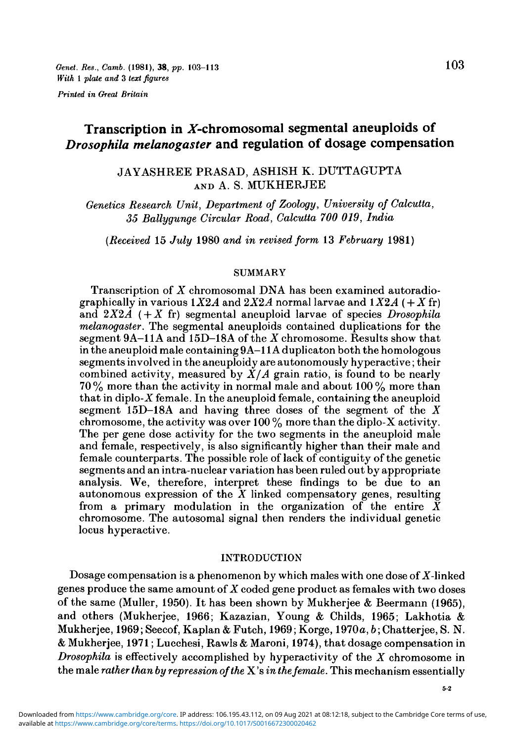# Transcription in  $X$ -chromosomal segmental aneuploids of *Drosophila melanogaster* and regulation of dosage compensation

## JAYASHREE PRASAD, ASHISH K. DUTTAGUPTA AND A. S. MUKHERJEE

*Genetics Research Unit, Department of Zoology, University of Calcutta, 35 Ballygunge Circular Road, Calcutta 700 019, India*

*(Received* 15 *July* 1980 *and in revised form* 13 *February* 1981)

#### SUMMARY

Transcription of *X* chromosomal DNA has been examined autoradiographically in various  $1X2A$  and  $2X2A$  normal larvae and  $1X2A$  ( $+ X$  fr) and *2X2A ( + X* fr) segmental aneuploid larvae of species *Drosophila melanogaster.* The segmental aneuploids contained duplications for the segment 9A— 11A and 15D—18A of the *X* chromosome. Results show that in the aneuploid male containing 9A—11A duplicaton both the homologous segments involved in the aneuploidy are autonomously hyperactive; their combined activity, measured by  $\overline{X}/A$  grain ratio, is found to be nearly  $70\%$  more than the activity in normal male and about  $100\%$  more than that in diplo-X female. In the aneuploid female, containing the aneuploid segment 15D-18A and having three doses of the segment of the *X* chromosome, the activity was over 100  $\%$  more than the diplo-X activity. The per gene dose activity for the two segments in the aneuploid male and female, respectively, is also significantly higher than their male and female counterparts. The possible role of lack of contiguity of the genetic segments and an intra-nuclear variation has been ruled out by appropriate analysis. We, therefore, interpret these findings to be due to an autonomous expression of the *X* linked compensatory genes, resulting from a primary modulation in the organization of the entire  $\bar{X}$ chromosome. The autosomal signal then renders the individual genetic locus hyperactive.

#### INTRODUCTION

Dosage compensation is a phenomenon by which males with one dose of *X*-linked genes produce the same amount of *X* coded gene product as females with two doses of the same (Muller, 1950). It has been shown by Mukherjee & Beermann (1965), and others (Mukherjee, 1966; Kazazian, Young & Childs, 1965; Lakhotia & Mukherjee, 1969; Seecof, Kaplan & Futch, 1969; Korge, 1970a, *b*; Chatterjee, S. N. & Mukherjee, 1971; Lucchesi, Rawls & Maroni, 1974), that dosage compensation in *Drosophila* is effectively accomplished by hyperactivity of the *X* chromosome in the male *rather than by repression of the* X's *in the female.* This mechanism essentially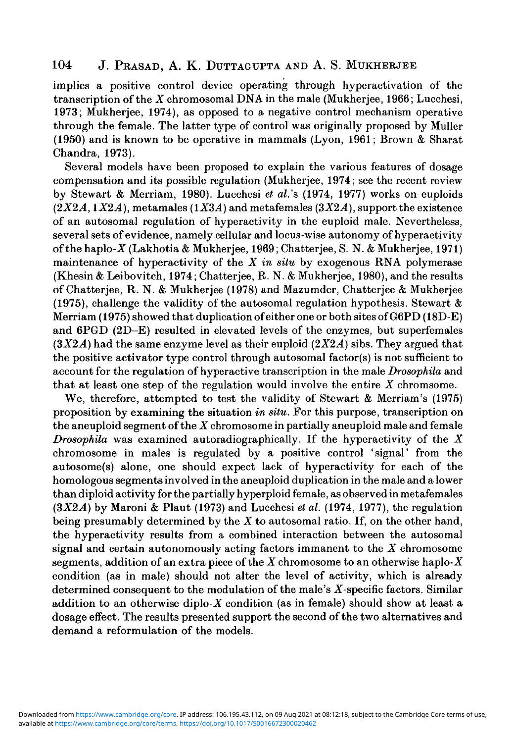# 104 J. PRASAD, A. K. DUTTAGUPTA AND A. S. MUKHEBJEE

implies a positive control device operating through hyperactivation of the transcription of the *X* chromosomal DNA in the male (Mukherjee, 1966; Lucchesi, 1973; Mukherjee, 1974), as opposed to a negative control mechanism operative through the female. The latter type of control was originally proposed by Muller (1950) and is known to be operative in mammals (Lyon, 1961; Brown & Sharat Chandra, 1973).

Several models have been proposed to explain the various features of dosage compensation and its possible regulation (Mukherjee, 1974; see the recent review by Stewart & Merriam, 1980). Lucchesi *et al.'s* (1974, 1977) works on euploids  $(2X2A, 1X2A)$ , metamales  $(1X3A)$  and metafemales  $(3X2A)$ , support the existence of an autosomal regulation of hyperactivity in the euploid male. Nevertheless, several sets of evidence, namely cellular and locus-wise autonomy of hyperactivity of the haplo-Z (Lakhotia & Mukherjee, 1969; Chatterjee, S. N. & Mukherjee, 1971) maintenance of hyperactivity of the *X in situ* by exogenous RNA polymerase (Khesin & Leibovitch, 1974; Chatterjee, R. N. & Mukherjee, 1980), and the results of Chatterjee, R. N. & Mukherjee (1978) and Mazumder, Chatterjee & Mukherjee (1975), challenge the validity of the autosomal regulation hypothesis. Stewart  $\&$ Merriam (1975) showed that duplication of either one or both sites of G6PD (18D-E) and 6PGD (2D-E) resulted in elevated levels of the enzymes, but superfemales  $(3X2A)$  had the same enzyme level as their euploid  $(2X2A)$  sibs. They argued that the positive activator type control through autosomal factor(s) is not sufficient to account for the regulation of hyperactive transcription in the male *Drosophila* and that at least one step of the regulation would involve the entire *X* chromsome.

We, therefore, attempted to test the validity of Stewart & Merriam's (1975) proposition by examining the situation *in situ.* For this purpose, transcription on the aneuploid segment of the *X* chromosome in partially aneuploid male and female *Drosophila* was examined autoradiographically. If the hyperactivity of the *X* chromosome in males is regulated by a positive control 'signal' from the autosome(s) alone, one should expect lack of hyperactivity for each of the homologous segments involved in the aneuploid duplication in the male and a lower than diploid activity for the partially hyperploid female, as observed in metafemales *(3X2A)* by Maroni & Plaut (1973) and Lucchesi *et al.* (1974, 1977), the regulation being presumably determined by the *X* to autosomal ratio. If, on the other hand, the hyperactivity results from a combined interaction between the autosomal signal and certain autonomously acting factors immanent to the *X* chromosome segments, addition of an extra piece of the *X* chromosome to an otherwise haplo-X condition (as in male) should not alter the level of activity, which is already determined consequent to the modulation of the male's X-specific factors. Similar addition to an otherwise diplo- $X$  condition (as in female) should show at least a dosage effect. The results presented support the second of the two alternatives and demand a reformulation of the models.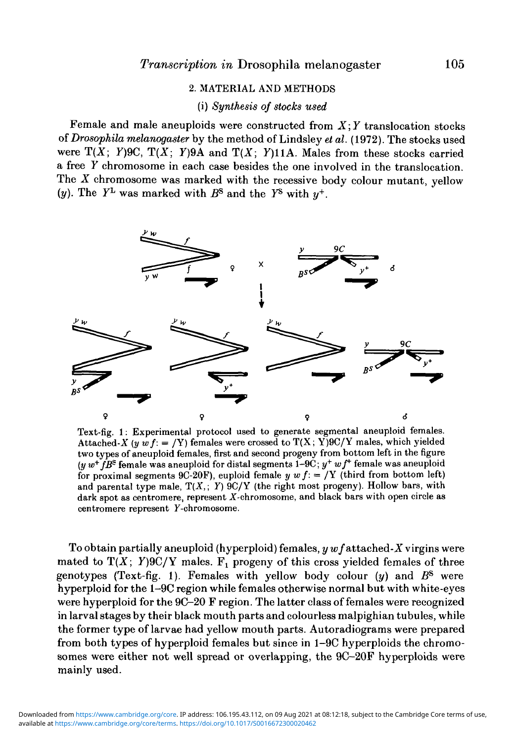### 2. MATERIAL AND METHODS

### (i) *Synthesis of stocks used*

Female and male aneuploids were constructed from *X*; *Y* translocation stocks *of Drosophila melanogaster* by the method of Lindsley *et al.* (1972). The stocks used were  $T(X; Y)$ 9C,  $T(X; Y)$ 9A and  $T(X; Y)$ 11A. Males from these stocks carried a free *Y* chromosome in each case besides the one involved in the translocation. The *X* chromosome was marked with the recessive body colour mutant, yellow (*y*). The  $Y^L$  was marked with  $B^S$  and the  $Y^S$  with  $y^+$ .



Text-fig. 1: Experimental protocol used to generate segmental aneuploid females. Attached-X (y w  $f: = Y$ ) females were crossed to  $T(X; Y)9C/Y$  males, which yielded two types of aneuploid females, first and second progeny from bottom left in the figure (*y*  $w^+fB^{\rm S}$  female was aneuploid for distal segments 1–9C;  $y^+$   $wf^+$  female was aneuploid for proximal segments 9C-20F), euploid female  $y w f := /Y$  (third from bottom left) and parental type male,  $T(X, Y)$  9C/Y (the right most progeny). Hollow bars, with dark spot as centromere, represent  $X$ -chromosome, and black bars with open circle as centromere represent Y-chromosome.

To obtain partially aneuploid (hyperploid) females, *y wf* attached *-X* virgins were mated to  $T(X; Y)9C/Y$  males.  $F_1$  progeny of this cross yielded females of three genotypes (Text-fig. 1). Females with yellow body colour *(y)* and *B<sup>s</sup>* were hyperploid for the 1-9C region while females otherwise normal but with white-eyes were hyperploid for the 9C-20 F region. The latter class of females were recognized in larval stages by their black mouth parts and colourless malpighian tubules, while the former type of larvae had yellow mouth parts. Autoradiograms were prepared from both types of hyperploid females but since in 1-9C hyperploids the chromosomes were either not well spread or overlapping, the 9C-20F hyperploids were mainly used.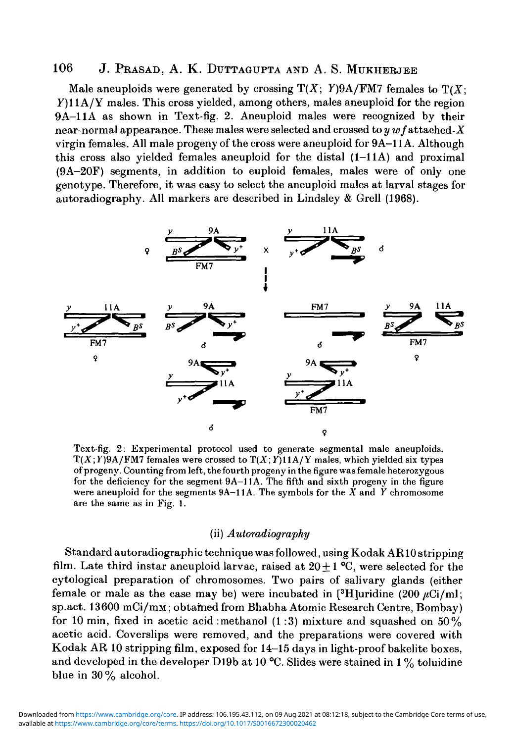### 106 J. Prasad, A. K. Duttagupta and A. S. MUKHERJEE

Male aneuploids were generated by crossing  $T(X; Y)9A/FM7$  females to  $T(X; Y)$ Y)11A/Y males. This cross yielded, among others, males aneuploid for the region 9A-11A as shown in Text-fig. 2. Aneuploid males were recognized by their near-normal appearance. These males were selected and crossed to  $y \, \textit{w} \, \textit{f}$  attached-X virgin females. All male progeny of the cross were aneuploid for 9A-11A. Although this cross also yielded females aneuploid for the distal  $(1-11A)$  and proximal (9A-20F) segments, in addition to euploid females, males were of only one genotype. Therefore, it was easy to select the aneuploid males at larval stages for autoradiography. All markers are described in Lindsley & Grell (1968).



Text-fig. 2: Experimental protocol used to generate segmental male aneuploids.  $T(X;Y)9A/FMT$  females were crossed to  $T(X;Y)11A/Y$  males, which yielded six types of progeny. Counting from left, the fourth progeny in the figure was female heterozygous for the deficiency for the segment 9A-11A. The fifth and sixth progeny in the figure were aneuploid for the segments 9A-11A. The symbols for the *X* and *Y* chromosome are the same as in Fig. 1.

#### (ii) *Autoradiography*

Standard autoradiographic technique was followed, using Kodak AR10 stripping film. Late third instar aneuploid larvae, raised at  $20 \pm 1$  °C, were selected for the cytological preparation of chromosomes. Two pairs of salivary glands (either female or male as the case may be) were incubated in [3H]uridine (200  $\mu$ Ci/ml; sp.act. 13600 mCi/mM; obtamed from Bhabha Atomic Research Centre, Bombay) for 10 min, fixed in acetic acid : methanol  $(1:3)$  mixture and squashed on 50% acetic acid. Coverslips were removed, and the preparations were covered with Kodak AR 10 stripping film, exposed for 14-15 days in light-proof bakelite boxes, and developed in the developer D19b at 10 °C. Slides were stained in 1% toluidine blue in 30% alcohol.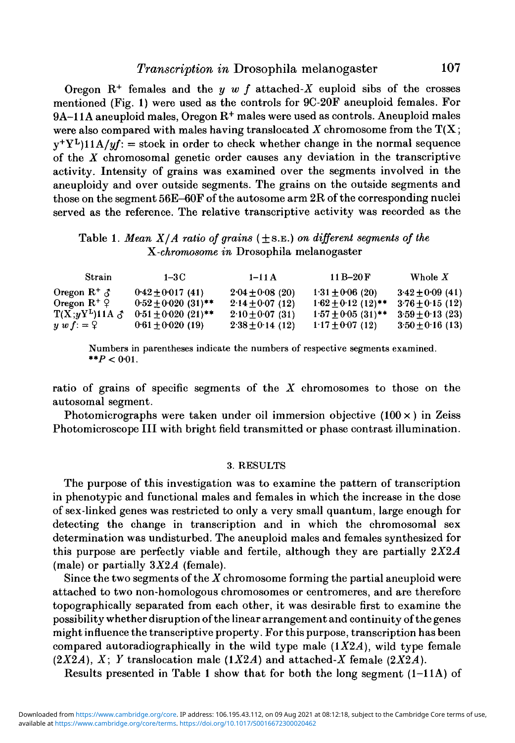# *Transcription in* Drosophila melanogaster 107

Oregon  $R^+$  females and the  $y \, w \, f$  attached- $X$  euploid sibs of the crosses mentioned (Fig. 1) were used as the controls for 9C-20F aneuploid females. For  $9\mathrm{A}\text{--}11\mathrm{A}$  aneuploid males, Oregon  $\mathrm{R}^+$  males were used as controls. Aneuploid males were also compared with males having translocated *X* chromosome from the T(X;  $y^+Y^L$ ) $11A/yf$ : = stock in order to check whether change in the normal sequence of the *X* chromosomal genetic order causes any deviation in the transcriptive activity. Intensity of grains was examined over the segments involved in the aneuploidy and over outside segments. The grains on the outside segments and those on the segment 56E-60F of the autosome arm 2R of the corresponding nuclei served as the reference. The relative transcriptive activity was recorded as the

### Table 1. *Mean X/A ratio of grains* (±S.B.) *on different segments of the ^.-chromosome in* Drosophila melanogaster

| Strain                   | $1-3C$                  | $1 - 11A$            | $11B-20F$            | Whole $X$            |
|--------------------------|-------------------------|----------------------|----------------------|----------------------|
| Oregon $R^+$ $\delta$    | $0.42 + 0.017(41)$      | $2.04 \pm 0.08$ (20) | $1.31 \pm 0.06$ (20) | $3.42 \pm 0.09$ (41) |
| Oregon $R^+$ ?           | $0.52 \pm 0.020$ (31)** | $2.14 + 0.07(12)$    | $1.62 + 0.12$ (12)** | $3.76 + 0.15(12)$    |
| $T(X,yY^L)11A \, \delta$ | $0.51 \pm 0.020$ (21)** | $2.10 + 0.07(31)$    | $1.57 + 0.05(31)$ ** | $3.59 + 0.13(23)$    |
| $y \, w \, f = 2$        | $0.61 \pm 0.020$ (19)   | $2.38 \pm 0.14$ (12) | $1.17 \pm 0.07$ (12) | $3.50 + 0.16$ (13)   |

Numbers in parentheses indicate the numbers of respective segments examined. \*\* $P < 0.01$ .

ratio of grains of specific segments of the *X* chromosomes to those on the autosomal segment.

Photomicrographs were taken under oil immersion objective  $(100 \times)$  in Zeiss Photomicroscope III with bright field transmitted or phase contrast illumination.

#### 3. RESULTS

The purpose of this investigation was to examine the pattern of transcription in phenotypic and functional males and females in which the increase in the dose of sex-linked genes was restricted to only a very small quantum, large enough for detecting the change in transcription and in which the chromosomal sex determination was undisturbed. The aneuploid males and females synthesized for this purpose are perfectly viable and fertile, although they are partially *2X2A* (male) or partially *3X2A* (female).

Since the two segments of the *X* chromosome forming the partial aneuploid were attached to two non-homologous chromosomes or centromeres, and are therefore topographically separated from each other, it was desirable first to examine the possibility whether disruption of the linear arrangement and continuity of the genes might influence the transcriptive property. For this purpose, transcription has been compared autoradiographically in the wild type male  $(1X2A)$ , wild type female *(2X2A), X, Y* translocation male *(1X2A)* and attached-X female *(2X2A).*

Results presented in Table 1 show that for both the long segment  $(1-11A)$  of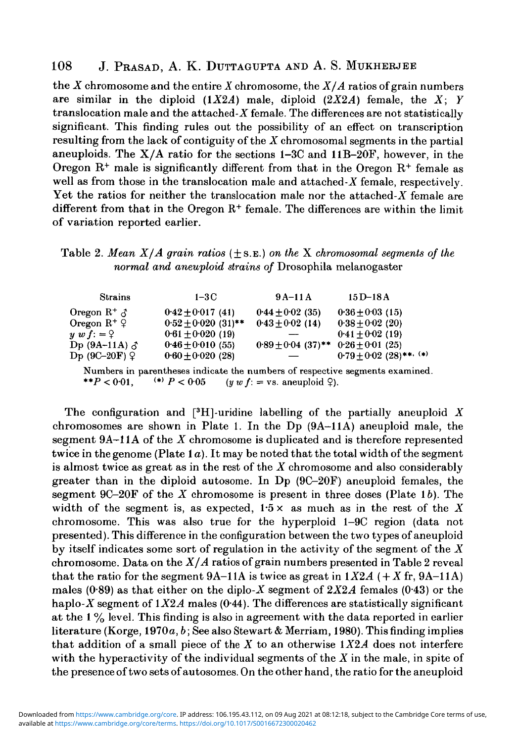### 108 J. PRASAD, A. K. DUTTAGUPTA AND A. S. MUKHERJBB

the *X* chromosome and the entire *X* chromosome, the *X/A* ratios of grain numbers are similar in the diploid *(IX2A)* male, diploid *(2X2A)* female, the *X; Y* translocation male and the attached- $X$  female. The differences are not statistically significant. This finding rules out the possibility of an effect on transcription resulting from the lack of contiguity of the *X* chromosomal segments in the partial aneuploids. The  $X/A$  ratio for the sections 1-3C and 11B-20F, however, in the Oregon  $R^+$  male is significantly different from that in the Oregon  $R^+$  female as well as from those in the translocation male and attached-X female, respectively. Yet the ratios for neither the translocation male nor the attached- $X$  female are different from that in the Oregon R<sup>+</sup> female. The differences are within the limit of variation reported earlier.

# Table 2. *Mean X/A grain ratios* ( + S.E.) *on the X chromosomal segments of the normal and aneuploid strains of* Drosophila melanogaster

| <b>Strains</b>                                                               | $1-3C$                  | $9A-11A$               | $15D-18A$                   |  |  |
|------------------------------------------------------------------------------|-------------------------|------------------------|-----------------------------|--|--|
| Oregon $R^+$ $\delta$                                                        | $0.42 + 0.017(41)$      | $0.44 \pm 0.02$ (35)   | $0.36 + 0.03(15)$           |  |  |
| Oregon $R^+$ ?                                                               | $0.52 \pm 0.020$ (31)** | $0.43 \pm 0.02$ (14)   | $0.38 \pm 0.02$ (20)        |  |  |
| $y \ w \ f: = 2$                                                             | $0.61 \pm 0.020$ (19)   |                        | $0.41 + 0.02(19)$           |  |  |
| Dp (9A-11A) $\delta$                                                         | $0.46 \pm 0.010$ (55)   | $0.89 \pm 0.04$ (37)** | $0.26 + 0.01(25)$           |  |  |
| Dp $(9C-20F)$ $9$                                                            | $0.60 \pm 0.020$ (28)   |                        | $0.79 \pm 0.02$ (28)**, (*) |  |  |
| Numbers in parentheses indicate the numbers of respective segments examined. |                         |                        |                             |  |  |

\*\* $P < 0.01$ . (\*)  $P < 0.05$  (y w  $f$ : = vs. aneuploid  $\varphi$ ).

The configuration and [<sup>3</sup>H]-uridine labelling of the partially aneuploid *X* chromosomes are shown in Plate 1. In the Dp (9A-11A) aneuploid male, the segment 9A-11A of the *X* chromosome is duplicated and is therefore represented twice in the genome (Plate 1*a*). It may be noted that the total width of the segment is almost twice as great as in the rest of the *X* chromosome and also considerably greater than in the diploid autosome. In Dp  $(9C-20F)$  aneuploid females, the segment 9C-20F of the *X* chromosome is present in three doses (Plate 16). The width of the segment is, as expected,  $1.5 \times$  as much as in the rest of the X chromosome. This was also true for the hyperploid 1—9C region (data not presented). This difference in the configuration between the two types of aneuploid by itself indicates some sort of regulation in the activity of the segment of the *X* chromosome. Data on the *X/A* ratios of grain numbers presented in Table 2 reveal that the ratio for the segment  $9A-11A$  is twice as great in  $1X2A$  ( $+X$  fr,  $9A-11A$ ) males  $(0.89)$  as that either on the diplo-X segment of  $2X2A$  females  $(0.43)$  or the haplo-X segment of  $1X2A$  males (0-44). The differences are statistically significant at the 1 % level. This finding is also in agreement with the data reported in earlier literature (Korge, 1970a, *b*; See also Stewart & Merriam, 1980). This finding implies that addition of a small piece of the *X* to an otherwise *1X2A* does not interfere with the hyperactivity of the individual segments of the *X* in the male, in spite of the presence of two sets of autosomes. On the other hand, the ratio for the aneuploid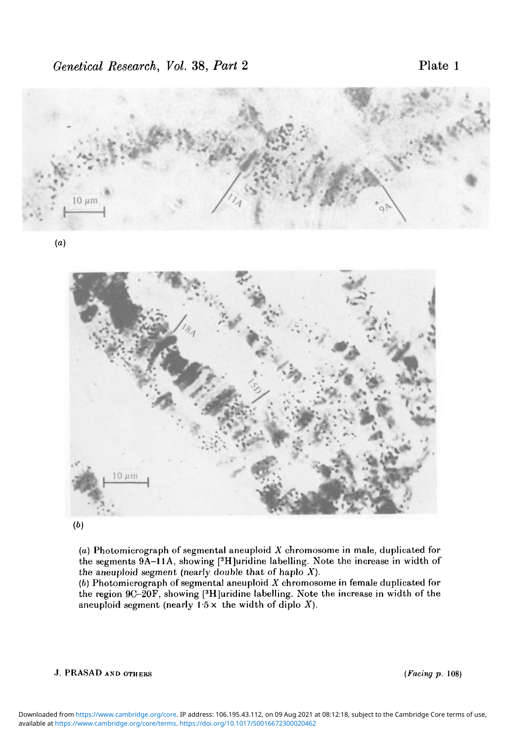

**(b)**

*{a)* Photomicrograph of segmental aneuploid *X* chromosome in male, duplicated for the segments 9A-11A, showing [<sup>3</sup>H]uridine labelling. Note the increase in width of the aneuploid segment (nearly double that of haplo  $X$ ).

(6) Photomicrograph of segmenta! aneuploid *X* chromosome in female duplicated for the region 9C-20F, showing [<sup>3</sup>H]uridine labelling. Note the increase in width of the aneuploid segment (nearly  $1.5 \times$  the width of diplo X).

#### J. PRASAD AND OTHERS *(Facing p.* 108)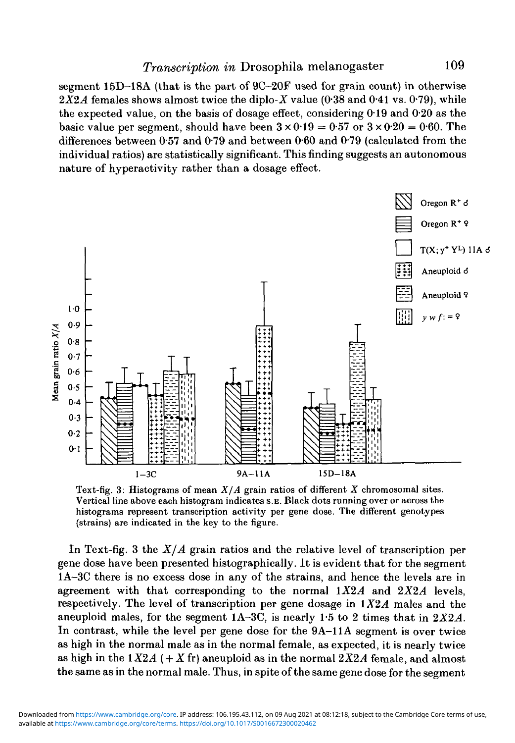segment 15D—18A (that is the part of 9C—20F used for grain count) in otherwise  $2X2A$  females shows almost twice the diplo-X value (0.38 and 0.41 vs. 0.79), while the expected value, on the basis of dosage effect, considering 019 and 0-20 as the basic value per segment, should have been  $3 \times 0.19 = 0.57$  or  $3 \times 0.20 = 0.60$ . The differences between  $0.57$  and  $0.79$  and between  $0.60$  and  $0.79$  (calculated from the individual ratios) are statistically significant. This finding suggests an autonomous nature of hyperactivity rather than a dosage effect.



Text-fig. 3: Histograms of mean *X/A* grain ratios of different *X* chromosomal sites. Vertical line above each histogram indicates S.E. Black dots running over or across the histograms represent transcription activity per gene dose. The different genotypes (strains) are indicated in the key to the figure.

In Text-fig. 3 the *X/A* grain ratios and the relative level of transcription per gene dose have been presented histographically. It is evident that for the segment 1A—3C there is no excess dose in any of the strains, and hence the levels are in agreement with that corresponding to the normal  $1X2A$  and  $2X2A$  levels, respectively. The level of transcription per gene dosage in  $1X2A$  males and the aneuploid males, for the segment 1A-3C, is nearly 1-5 to 2 times that in *2X2A.* In contrast, while the level per gene dose for the 9A-11A segment is over twice as high in the normal male as in the normal female, as expected, it is nearly twice as high in the  $1X2A$  ( $+ X$  fr) aneuploid as in the normal  $2X2A$  female, and almost the same as in the normal male. Thus, in spite of the same gene dose for the segment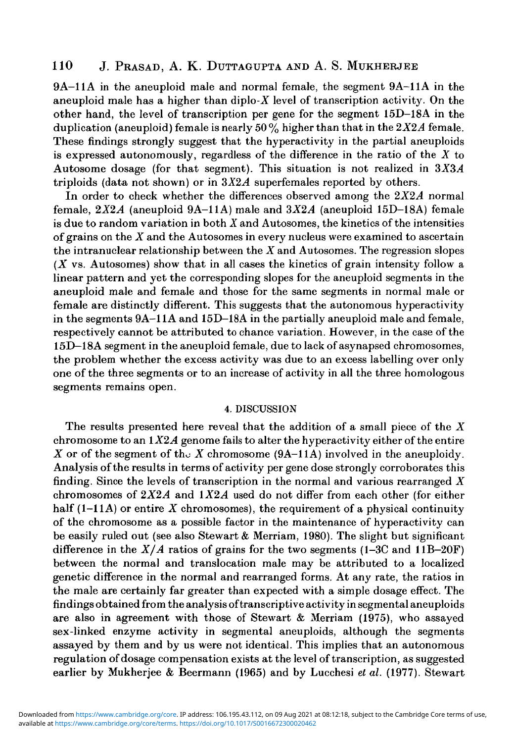# 110 J. PRASAD, A. K. DUTTAGUPTA AND A. S. MUKHERJEE

9A-11A in the aneuploid male and normal female, the segment 9A-11A in the aneuploid male has a higher than diplo- $X$  level of transcription activity. On the other hand, the level of transcription per gene for the segment 15D-18A in the duplication (aneuploid) female is nearly 50 *%* higher than that in the *2X2A* female. These findings strongly suggest that the hyperactivity in the partial aneuploids is expressed autonomously, regardless of the difference in the ratio of the *X* to Autosome dosage (for that segment). This situation is not realized in  $3X3A$ triploids (data not shown) or in *3X2A* superfemales reported by others.

In order to check whether the differences observed among the *2X2A* normal female,  $2X2A$  (aneuploid  $9A-11A$ ) male and  $3X2A$  (aneuploid 15D-18A) female is due to random variation in both *X* and Autosomes, the kinetics of the intensities of grains on the  $X$  and the Autosomes in every nucleus were examined to ascertain the intranuclear relationship between the  $X$  and Autosomes. The regression slopes *(X* vs. Autosomes) show that in all cases the kinetics of grain intensity follow a linear pattern and yet the corresponding slopes for the aneuploid segments in the aneuploid male and female and those for the same segments in normal male or female are distinctly different. This suggests that the autonomous hyperactivity in the segments 9A-11A and 15D-18A in the partially aneuploid male and female, respectively cannot be attributed to chance variation. However, in the case of the 15D—18A segment in the aneuploid female, due to lack of asynapsed chromosomes, the problem whether the excess activity was due to an excess labelling over only one of the three segments or to an increase of activity in all the three homologous segments remains open.

#### 4. DISCUSSION

The results presented here reveal that the addition of a small piece of the  $X$ chromosome to an *1X2A* genome fails to alter the hyperactivity either of the entire X or of the segment of the X chromosome  $(9A-11A)$  involved in the aneuploidy. Analysis of the results in terms of activity per gene dose strongly corroborates this finding. Since the levels of transcription in the normal and various rearranged  $X$ chromosomes of  $2X2A$  and  $1X2A$  used do not differ from each other (for either half  $(1-11)$  or entire X chromosomes), the requirement of a physical continuity of the chromosome as a possible factor in the maintenance of hyperactivity can be easily ruled out (see also Stewart & Merriam, 1980). The slight but significant difference in the  $X/A$  ratios of grains for the two segments  $(1-3C \text{ and } 11B-20F)$ between the normal and translocation male may be attributed to a localized genetic difference in the normal and rearranged forms. At any rate, the ratios in the male are certainly far greater than expected with a simple dosage effect. The findings obtained from the analysis of transcriptive activity in segmental aneuploids are also in agreement with those of Stewart & Merriam (1975), who assayed sex-linked enzyme activity in segmental aneuploids, although the segments assayed by them and by us were not identical. This implies that an autonomous regulation of dosage compensation exists at the level of transcription, as suggested earlier by Mukherjee *&* Beermann (1965) and by Lucchesi *et al.* (1977). Stewart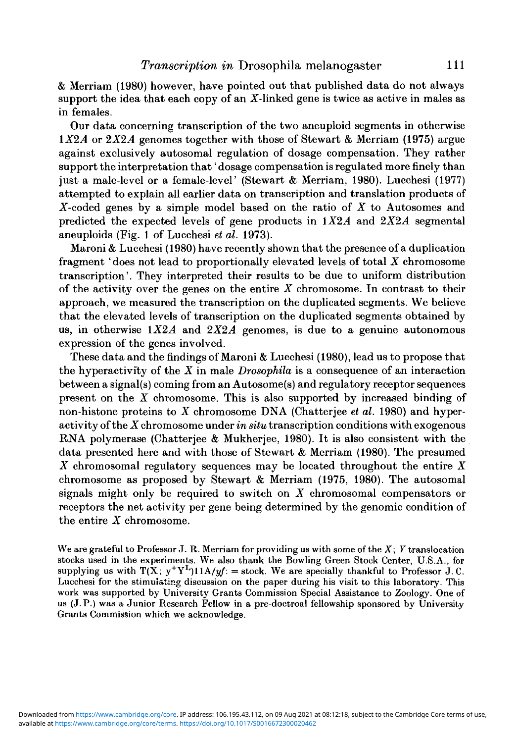& Merriam (1980) however, have pointed out that published data do not always support the idea that each copy of an  $X$ -linked gene is twice as active in males as in females.

Our data concerning transcription of the two aneuploid segments in otherwise  $1X2A$  or  $2X2A$  genomes together with those of Stewart & Merriam (1975) argue against exclusively autosomal regulation of dosage compensation. They rather support the interpretation that' dosage compensation is regulated more finely than just a male-level or a female-level' (Stewart & Merriam, 1980). Lucchesi (1977) attempted to explain all earlier data on transcription and translation products of X-coded genes by a simple model based on the ratio of *X* to Autosomes and predicted the expected levels of gene products in *IX2A* and *2X2A* segmental aneuploids (Fig. 1 of Lucchesi *et al.* 1973).

Maroni & Lucchesi (1980) have recently shown that the presence of a duplication fragment ' does not lead to proportionally elevated levels of total *X* chromosome transcription'. They interpreted their results to be due to uniform distribution of the activity over the genes on the entire *X* chromosome. In contrast to their approach, we measured the transcription on the duplicated segments. We believe that the elevated levels of transcription on the duplicated segments obtained by us, in otherwise  $1X2A$  and  $2X2A$  genomes, is due to a genuine autonomous expression of the genes involved.

These data and the findings of Maroni & Lucchesi (1980), lead us to propose that the hyperactivfty of the *X* in male *Drosophila* is a consequence of an interaction between a signal(s) coming from an Autosome(s) and regulatory receptor sequences present on the *X* chromosome. This is also supported by increased binding of non-histone proteins to *X* chromosome DNA (Chatterjee *et al.* 1980) and hyperactivity of the X chromosome under *in situ* transcription conditions with exogenous RNA polymerase (Chatterjee & Mukherjee, 1980). It is also consistent with the data presented here and with those of Stewart & Merriam (1980). The presumed *X* chromosomal regulatory sequences may be located throughout the entire *X* chromosome as proposed by Stewart & Merriam (1975, 1980). The autosomal signals might only be required to switch on *X* chromosomal compensators or receptors the net activity per gene being determined by the genomic condition of the entire *X* chromosome.

We are grateful to Professor J. R. Merriam for providing us with some of the *X; Y* translocation stocks used in the experiments. We also thank the Bowling Green Stock Center, U.S.A., for supplying us with  $T(X; y^+Y^L)11A/yf = \text{stock}$ . We are specially thankful to Professor J.C. Lucchesi for the stimulating discussion on the paper during his visit to this laboratory. This work was supported by University Grants Commission Special Assistance to Zoology. One of us (J.P.) was a Junior Research Fellow in a pre-doctroal fellowship sponsored by University Grants Commission which we acknowledge.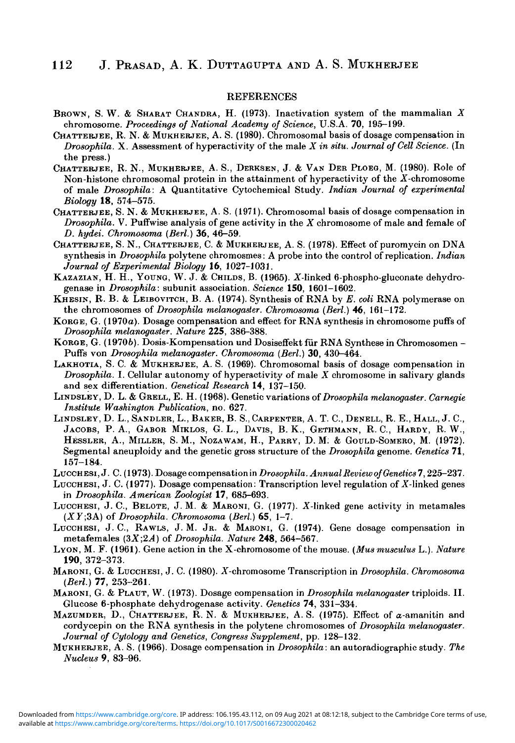#### **REFERENCES**

- BROWN, S. W. & SHARAT CHANDRA, H. (1973). Inaotivation system of the mammalian *X* chromosome. *Proceedings of National Academy of Science,* U.S.A. 70, 195-199.
- CHATTERJEE, R. N. & MUKHERJEE, A. S. (1980). Chromosomal basis of dosage compensation in *Drosophila.* X. Assessment of hyperactivity of the male *X in situ. Journal of Cell Science.* (In the press.)
- CHATTERJEE, R. N., MUKHERJEE, A. S., DERKSEN, J. & VAN DER PLOEG, M. (1980). Role of Non-histone chromosomal protein in the attainment of hyperactivity of the X-chromosome of male *Drosophila:* A Quantitative Cytochemical Study. *Indian Journal of experimental Biology* **18,** 574-575.
- CHATTERJEE, S. N. & MUKHERJEE, A. S. (1971). Chromosomal basis of dosage compensation in *Drosophila.* V. Puffwise analysis of gene activity in the *X* chromosome of male and female of *D. hydei. Chromosoma (Berl.)* 36, 46-59.
- CHATTERJEE, S. N., CHATTERJEE, C. & MUKHERJEE, A. S. (1978). Effect of puromycin on DNA synthesis in *Drosophila* polytene chromosmes: A probe into the control of replication. *Indian Journal of Experimental Biology* 16, 1027-1031.
- KAZAZIAN, H. H., YOUNG, W. J. & CHILDS, B. (1965). Z-linked 6-phospho-gluconate dehydrogenase in *Drosophila:* subunit association. *Science* **ISO,** 1601-1602.
- KHESIN, R. B. & LEIBOVITCH, B. A. (1974). Synthesis of RNA by *E. coli* RNA polymerase on the chromosomes *of Drosophila melanogaster. Chromosoma (Berl.)* 46, 161-172.
- KORGE, G. (1970a). Dosage compensation and effect for RNA synthesis in chromosome puffs of *Drosophila melanogaster. Nature* 225, 386-388.
- KORGE, G. (19706). Dosis-Kompensation und Dosiseffekt fur RNA Synthese in Chromosomen Puffs von *Drosophila melanogaster. Chromosoma (Berl.)* 30, 430-464.
- LAKHOTIA, S. C. & MUKHERJEE, A. S. (1969). Chromosomal basis of dosage compensation in *Drosophila.* I. Cellular autonomy of hyperactivity of male *X* chromosome in salivary glands and sex differentiation. *Oenetical Research* **14,** 137-150.
- LINDSLEY, D. L. & GRELL, E. H. (1968). Genetic variations of *Drosophila melanogaster. Carnegie Institute Washington Publication,* no. 627.
- LINDSLEY, D. L., SANDLER, L., BAKER, B. S., CARPENTER, A. T. C, DENELL, R. E., HALL, J. C, JACOBS, P. A., GABOR MIKLOS, G. L., DAVIS, B. K., GETHMANN, R. C, HARDY, R. W., HESSLER, A., MILLER, S. M., NOZAWAM, H., PARRY, D. M: & GOULD-SOMERO, M. (1972). Segmental aneuploidy and the genetic gross structure of the *Drosophila* genome. *Genetics* 71, 157-184.
- LUCCHESI,J. C. (1973). Dosage compensation in *Drosophila. Annual Review of Genetics* 7,225-237.
- LUCCHESI, J. C. (1977). Dosage compensation: Transcription level regulation of Z-linked genes in *Drosophila. American Zoologist* 17, 685-693.
- LUCCHESI, J. C, BELOTE, J. M. & MARONI, G. (1977). X-linked gene activity in metamales *(XY;3A)* of *Drosophila. Chromosoma (Berl.)* 65, 1-7.
- LUCCHESI, J. C, RAWLS, J. M. JR. & MARONI, G. (1974). Gene dosage compensation in metafemales *(3X;2A)* of *Drosophila. Nature* **248,** 564-567.
- LYON, M. F. (1961). Gene action in the X-chromosome of the mouse. *(Mus musculus* L.). *Nature* **190,** 372-373.
- MARONI, G. & LUCCHESI, J. C. (1980). Z-chromosome Transcription in *Drosophila. Chromosoma (Berl.)* 77, 253-261.
- MARONI, G. & PLAUT, W. (1973). Dosage compensation in *Drosophila melanogaster* triploids. II. Glucose 6-phosphate dehydrogenase activity. *Genetics* 74, 331-334.
- MAZUMDER, D., CHATTERJEE, R. N. & MUKHERJEE, A. S. (1975). Effect of  $\alpha$ -amanitin and cordycepin on the RNA synthesis in the polytene chromosomes of *Drosophila melanogaster. Journal of Cytology and Genetics, Congress Supplement,* pp. 128-132.
- MUKHERJEE, A. S. (1966). Dosage compensation in *Drosophila:* an autoradiographic study. *The Nucleus* 9, 83-96.